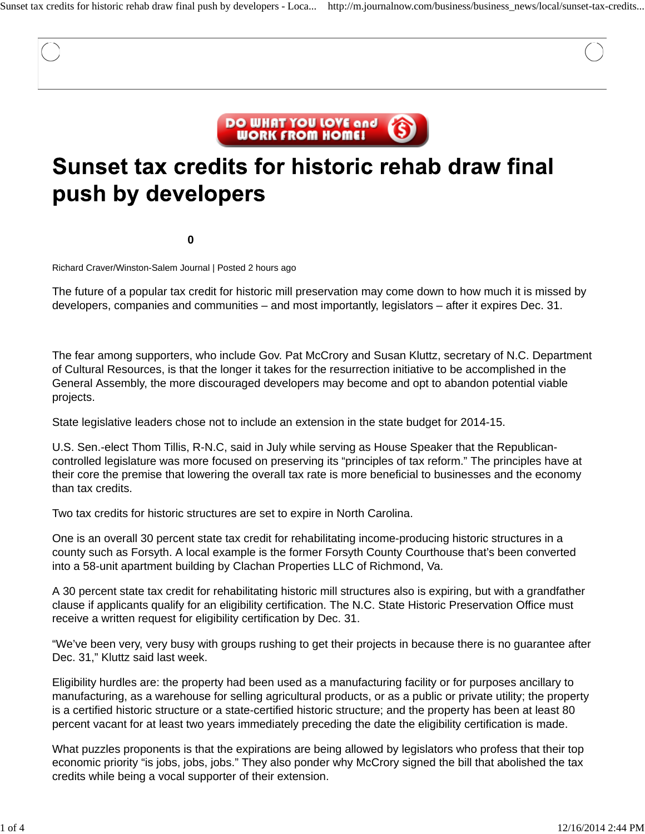

# Sunset tax credits for historic rehab draw final push by developers

**0**

Richard Craver/Winston-Salem Journal | Posted 2 hours ago

The future of a popular tax credit for historic mill preservation may come down to how much it is missed by developers, companies and communities – and most importantly, legislators – after it expires Dec. 31.

The fear among supporters, who include Gov. Pat McCrory and Susan Kluttz, secretary of N.C. Department of Cultural Resources, is that the longer it takes for the resurrection initiative to be accomplished in the General Assembly, the more discouraged developers may become and opt to abandon potential viable projects.

State legislative leaders chose not to include an extension in the state budget for 2014-15.

U.S. Sen.-elect Thom Tillis, R-N.C, said in July while serving as House Speaker that the Republicancontrolled legislature was more focused on preserving its "principles of tax reform." The principles have at their core the premise that lowering the overall tax rate is more beneficial to businesses and the economy than tax credits.

Two tax credits for historic structures are set to expire in North Carolina.

One is an overall 30 percent state tax credit for rehabilitating income-producing historic structures in a county such as Forsyth. A local example is the former Forsyth County Courthouse that's been converted into a 58-unit apartment building by Clachan Properties LLC of Richmond, Va.

A 30 percent state tax credit for rehabilitating historic mill structures also is expiring, but with a grandfather clause if applicants qualify for an eligibility certification. The N.C. State Historic Preservation Office must receive a written request for eligibility certification by Dec. 31.

"We've been very, very busy with groups rushing to get their projects in because there is no guarantee after Dec. 31," Kluttz said last week.

Eligibility hurdles are: the property had been used as a manufacturing facility or for purposes ancillary to manufacturing, as a warehouse for selling agricultural products, or as a public or private utility; the property is a certified historic structure or a state-certified historic structure; and the property has been at least 80 percent vacant for at least two years immediately preceding the date the eligibility certification is made.

What puzzles proponents is that the expirations are being allowed by legislators who profess that their top economic priority "is jobs, jobs, jobs." They also ponder why McCrory signed the bill that abolished the tax credits while being a vocal supporter of their extension.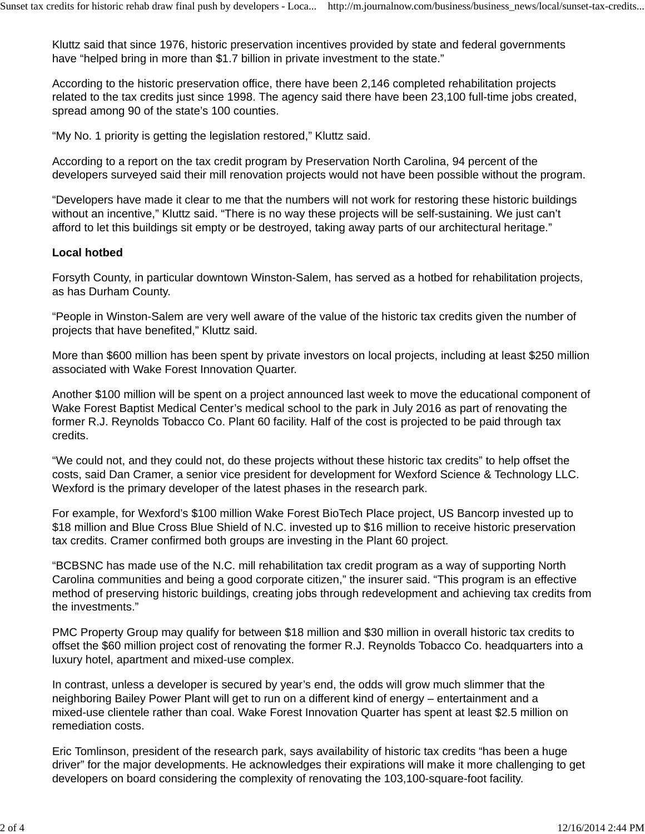Kluttz said that since 1976, historic preservation incentives provided by state and federal governments have "helped bring in more than \$1.7 billion in private investment to the state."

According to the historic preservation office, there have been 2,146 completed rehabilitation projects related to the tax credits just since 1998. The agency said there have been 23,100 full-time jobs created, spread among 90 of the state's 100 counties.

"My No. 1 priority is getting the legislation restored," Kluttz said.

According to a report on the tax credit program by Preservation North Carolina, 94 percent of the developers surveyed said their mill renovation projects would not have been possible without the program.

"Developers have made it clear to me that the numbers will not work for restoring these historic buildings without an incentive," Kluttz said. "There is no way these projects will be self-sustaining. We just can't afford to let this buildings sit empty or be destroyed, taking away parts of our architectural heritage."

#### **Local hotbed**

Forsyth County, in particular downtown Winston-Salem, has served as a hotbed for rehabilitation projects, as has Durham County.

"People in Winston-Salem are very well aware of the value of the historic tax credits given the number of projects that have benefited," Kluttz said.

More than \$600 million has been spent by private investors on local projects, including at least \$250 million associated with Wake Forest Innovation Quarter.

Another \$100 million will be spent on a project announced last week to move the educational component of Wake Forest Baptist Medical Center's medical school to the park in July 2016 as part of renovating the former R.J. Reynolds Tobacco Co. Plant 60 facility. Half of the cost is projected to be paid through tax credits.

"We could not, and they could not, do these projects without these historic tax credits" to help offset the costs, said Dan Cramer, a senior vice president for development for Wexford Science & Technology LLC. Wexford is the primary developer of the latest phases in the research park.

For example, for Wexford's \$100 million Wake Forest BioTech Place project, US Bancorp invested up to \$18 million and Blue Cross Blue Shield of N.C. invested up to \$16 million to receive historic preservation tax credits. Cramer confirmed both groups are investing in the Plant 60 project.

"BCBSNC has made use of the N.C. mill rehabilitation tax credit program as a way of supporting North Carolina communities and being a good corporate citizen," the insurer said. "This program is an effective method of preserving historic buildings, creating jobs through redevelopment and achieving tax credits from the investments."

PMC Property Group may qualify for between \$18 million and \$30 million in overall historic tax credits to offset the \$60 million project cost of renovating the former R.J. Reynolds Tobacco Co. headquarters into a luxury hotel, apartment and mixed-use complex.

In contrast, unless a developer is secured by year's end, the odds will grow much slimmer that the neighboring Bailey Power Plant will get to run on a different kind of energy – entertainment and a mixed-use clientele rather than coal. Wake Forest Innovation Quarter has spent at least \$2.5 million on remediation costs.

Eric Tomlinson, president of the research park, says availability of historic tax credits "has been a huge driver" for the major developments. He acknowledges their expirations will make it more challenging to get developers on board considering the complexity of renovating the 103,100-square-foot facility.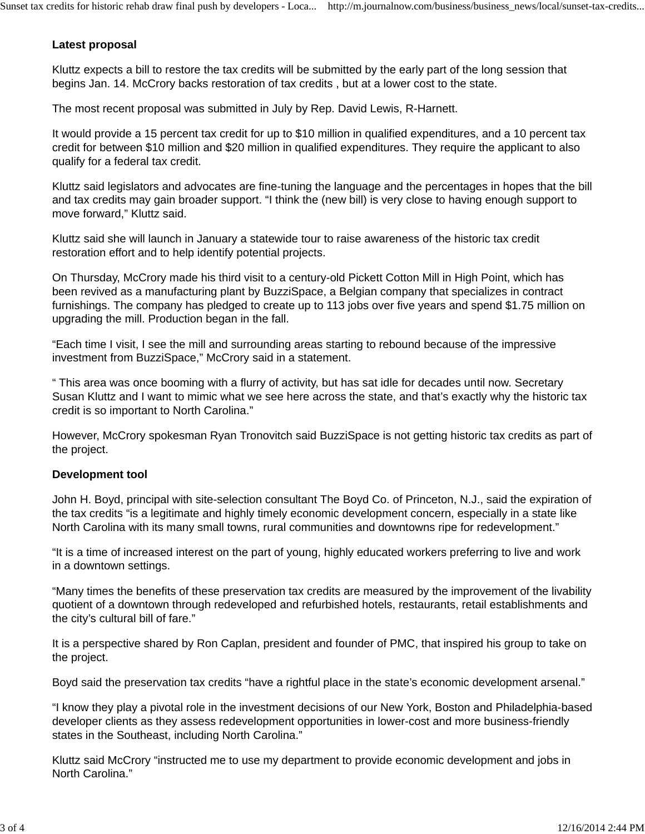## **Latest proposal**

Kluttz expects a bill to restore the tax credits will be submitted by the early part of the long session that begins Jan. 14. McCrory backs restoration of tax credits , but at a lower cost to the state.

The most recent proposal was submitted in July by Rep. David Lewis, R-Harnett.

It would provide a 15 percent tax credit for up to \$10 million in qualified expenditures, and a 10 percent tax credit for between \$10 million and \$20 million in qualified expenditures. They require the applicant to also qualify for a federal tax credit.

Kluttz said legislators and advocates are fine-tuning the language and the percentages in hopes that the bill and tax credits may gain broader support. "I think the (new bill) is very close to having enough support to move forward," Kluttz said.

Kluttz said she will launch in January a statewide tour to raise awareness of the historic tax credit restoration effort and to help identify potential projects.

On Thursday, McCrory made his third visit to a century-old Pickett Cotton Mill in High Point, which has been revived as a manufacturing plant by BuzziSpace, a Belgian company that specializes in contract furnishings. The company has pledged to create up to 113 jobs over five years and spend \$1.75 million on upgrading the mill. Production began in the fall.

"Each time I visit, I see the mill and surrounding areas starting to rebound because of the impressive investment from BuzziSpace," McCrory said in a statement.

" This area was once booming with a flurry of activity, but has sat idle for decades until now. Secretary Susan Kluttz and I want to mimic what we see here across the state, and that's exactly why the historic tax credit is so important to North Carolina."

However, McCrory spokesman Ryan Tronovitch said BuzziSpace is not getting historic tax credits as part of the project.

## **Development tool**

John H. Boyd, principal with site-selection consultant The Boyd Co. of Princeton, N.J., said the expiration of the tax credits "is a legitimate and highly timely economic development concern, especially in a state like North Carolina with its many small towns, rural communities and downtowns ripe for redevelopment."

"It is a time of increased interest on the part of young, highly educated workers preferring to live and work in a downtown settings.

"Many times the benefits of these preservation tax credits are measured by the improvement of the livability quotient of a downtown through redeveloped and refurbished hotels, restaurants, retail establishments and the city's cultural bill of fare."

It is a perspective shared by Ron Caplan, president and founder of PMC, that inspired his group to take on the project.

Boyd said the preservation tax credits "have a rightful place in the state's economic development arsenal."

"I know they play a pivotal role in the investment decisions of our New York, Boston and Philadelphia-based developer clients as they assess redevelopment opportunities in lower-cost and more business-friendly states in the Southeast, including North Carolina."

Kluttz said McCrory "instructed me to use my department to provide economic development and jobs in North Carolina."